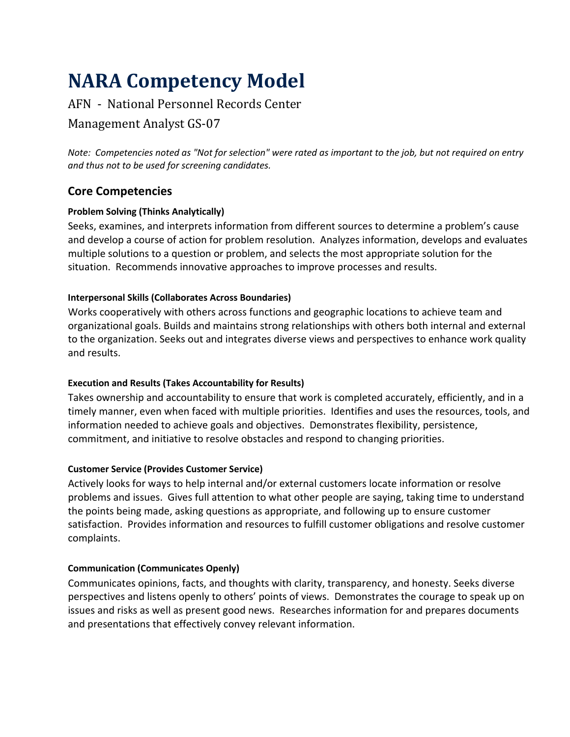# **NARA Competency Model**

# AFN - National Personnel Records Center

# Management Analyst GS-07

*Note: Competencies noted as "Not for selection" were rated as important to the job, but not required on entry and thus not to be used for screening candidates.*

# **Core Competencies**

# **Problem Solving (Thinks Analytically)**

Seeks, examines, and interprets information from different sources to determine a problem's cause and develop a course of action for problem resolution. Analyzes information, develops and evaluates multiple solutions to a question or problem, and selects the most appropriate solution for the situation. Recommends innovative approaches to improve processes and results.

### **Interpersonal Skills (Collaborates Across Boundaries)**

Works cooperatively with others across functions and geographic locations to achieve team and organizational goals. Builds and maintains strong relationships with others both internal and external to the organization. Seeks out and integrates diverse views and perspectives to enhance work quality and results.

# **Execution and Results (Takes Accountability for Results)**

Takes ownership and accountability to ensure that work is completed accurately, efficiently, and in a timely manner, even when faced with multiple priorities. Identifies and uses the resources, tools, and information needed to achieve goals and objectives. Demonstrates flexibility, persistence, commitment, and initiative to resolve obstacles and respond to changing priorities.

# **Customer Service (Provides Customer Service)**

Actively looks for ways to help internal and/or external customers locate information or resolve problems and issues. Gives full attention to what other people are saying, taking time to understand the points being made, asking questions as appropriate, and following up to ensure customer satisfaction. Provides information and resources to fulfill customer obligations and resolve customer complaints.

#### **Communication (Communicates Openly)**

Communicates opinions, facts, and thoughts with clarity, transparency, and honesty. Seeks diverse perspectives and listens openly to others' points of views. Demonstrates the courage to speak up on issues and risks as well as present good news. Researches information for and prepares documents and presentations that effectively convey relevant information.